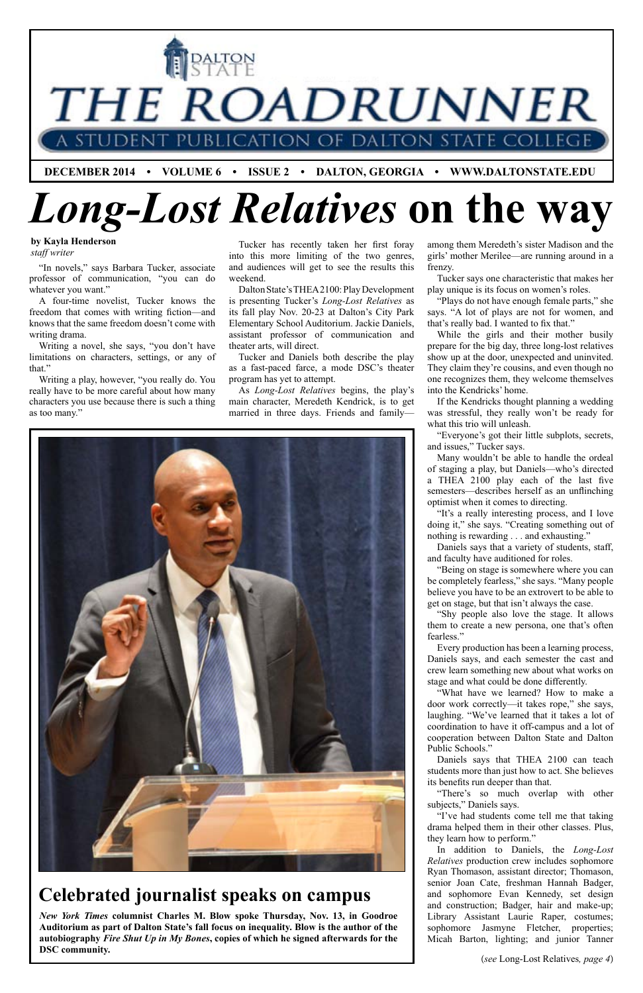

**by Kayla Henderson** *staff writer*

(*see* Long-Lost Relatives*, page 4*)

"In novels," says Barbara Tucker, associate professor of communication, "you can do whatever you want."

A four-time novelist, Tucker knows the freedom that comes with writing fiction—and knows that the same freedom doesn't come with writing drama.

Writing a novel, she says, "you don't have limitations on characters, settings, or any of that."

Writing a play, however, "you really do. You really have to be more careful about how many characters you use because there is such a thing as too many."

*New York Times* **columnist Charles M. Blow spoke Thursday, Nov. 13, in Goodroe Auditorium as part of Dalton State's fall focus on inequality. Blow is the author of the autobiography** *Fire Shut Up in My Bones***, copies of which he signed afterwards for the DSC community.**

Tucker has recently taken her first foray into this more limiting of the two genres, and audiences will get to see the results this weekend.

Dalton State's THEA 2100: Play Development is presenting Tucker's *Long-Lost Relatives* as its fall play Nov. 20-23 at Dalton's City Park Elementary School Auditorium. Jackie Daniels, assistant professor of communication and theater arts, will direct.

Tucker and Daniels both describe the play as a fast-paced farce, a mode DSC's theater program has yet to attempt.

As *Long-Lost Relatives* begins, the play's main character, Meredeth Kendrick, is to get married in three days. Friends and family—



among them Meredeth's sister Madison and the girls' mother Merilee—are running around in a frenzy.

Tucker says one characteristic that makes her play unique is its focus on women's roles.

"Plays do not have enough female parts," she says. "A lot of plays are not for women, and that's really bad. I wanted to fix that."

While the girls and their mother busily prepare for the big day, three long-lost relatives show up at the door, unexpected and uninvited. They claim they're cousins, and even though no one recognizes them, they welcome themselves into the Kendricks' home.

If the Kendricks thought planning a wedding was stressful, they really won't be ready for what this trio will unleash.

"Everyone's got their little subplots, secrets, and issues," Tucker says.

Many wouldn't be able to handle the ordeal of staging a play, but Daniels—who's directed a THEA 2100 play each of the last five semesters—describes herself as an unflinching optimist when it comes to directing.

"It's a really interesting process, and I love doing it," she says. "Creating something out of nothing is rewarding . . . and exhausting."

Daniels says that a variety of students, staff, and faculty have auditioned for roles.

"Being on stage is somewhere where you can be completely fearless," she says. "Many people believe you have to be an extrovert to be able to get on stage, but that isn't always the case.

"Shy people also love the stage. It allows them to create a new persona, one that's often fearless."

Every production has been a learning process, Daniels says, and each semester the cast and crew learn something new about what works on stage and what could be done differently.

"What have we learned? How to make a door work correctly—it takes rope," she says, laughing. "We've learned that it takes a lot of coordination to have it off-campus and a lot of

cooperation between Dalton State and Dalton Public Schools."

Daniels says that THEA 2100 can teach students more than just how to act. She believes its benefits run deeper than that.

"There's so much overlap with other subjects," Daniels says.

"I've had students come tell me that taking drama helped them in their other classes. Plus, they learn how to perform."

In addition to Daniels, the *Long-Lost Relatives* production crew includes sophomore Ryan Thomason, assistant director; Thomason, senior Joan Cate, freshman Hannah Badger, and sophomore Evan Kennedy, set design and construction; Badger, hair and make-up; Library Assistant Laurie Raper, costumes; sophomore Jasmyne Fletcher, properties; Micah Barton, lighting; and junior Tanner

### **Celebrated journalist speaks on campus**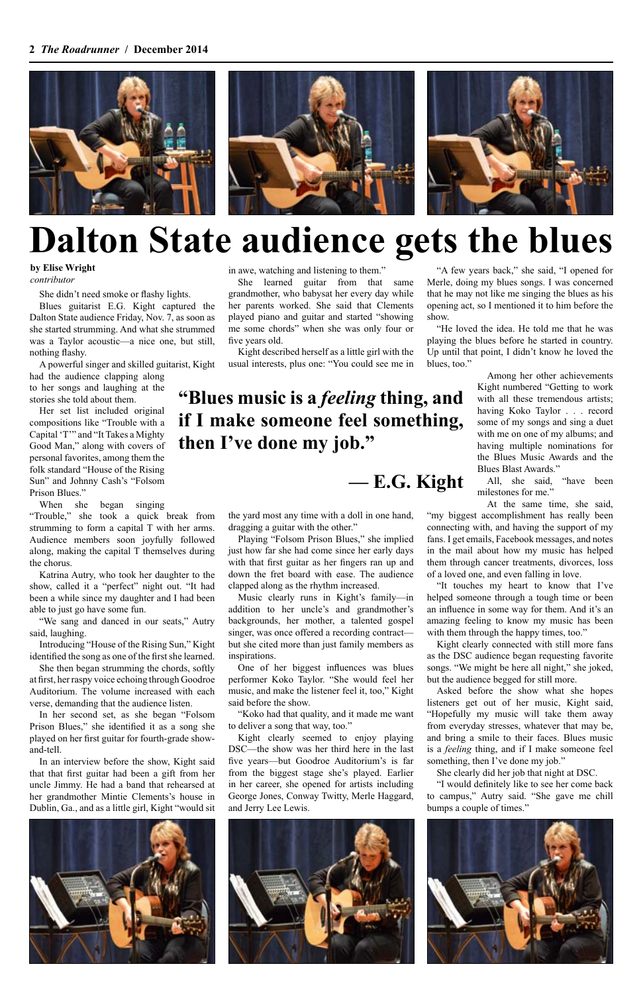

## **Dalton State audience gets the blues**

**by Elise Wright** *contributor*

She didn't need smoke or flashy lights.

Blues guitarist E.G. Kight captured the Dalton State audience Friday, Nov. 7, as soon as she started strumming. And what she strummed was a Taylor acoustic—a nice one, but still, nothing flashy.

A powerful singer and skilled guitarist, Kight

had the audience clapping along to her songs and laughing at the stories she told about them.

Her set list included original compositions like "Trouble with a Capital 'T'" and "It Takes a Mighty Good Man," along with covers of personal favorites, among them the folk standard "House of the Rising Sun" and Johnny Cash's "Folsom Prison Blues."

When she began singing

"Trouble," she took a quick break from strumming to form a capital T with her arms. Audience members soon joyfully followed along, making the capital T themselves during the chorus.

Katrina Autry, who took her daughter to the show, called it a "perfect" night out. "It had been a while since my daughter and I had been able to just go have some fun.

"We sang and danced in our seats," Autry said, laughing.

Introducing "House of the Rising Sun," Kight identified the song as one of the first she learned.

She then began strumming the chords, softly at first, her raspy voice echoing through Goodroe Auditorium. The volume increased with each verse, demanding that the audience listen.

In her second set, as she began "Folsom Prison Blues," she identified it as a song she

played on her first guitar for fourth-grade showand-tell.

In an interview before the show, Kight said that that first guitar had been a gift from her uncle Jimmy. He had a band that rehearsed at her grandmother Mintie Clements's house in Dublin, Ga., and as a little girl, Kight "would sit in awe, watching and listening to them."

She learned guitar from that same grandmother, who babysat her every day while her parents worked. She said that Clements played piano and guitar and started "showing me some chords" when she was only four or five years old.

> "It touches my heart to know that I've helped someone through a tough time or been an influence in some way for them. And it's an amazing feeling to know my music has been with them through the happy times, too."

Kight described herself as a little girl with the usual interests, plus one: "You could see me in

the yard most any time with a doll in one hand, dragging a guitar with the other."

> Asked before the show what she hopes listeners get out of her music, Kight said, "Hopefully my music will take them away from everyday stresses, whatever that may be, and bring a smile to their faces. Blues music is a *feeling* thing, and if I make someone feel something, then I've done my job."

Playing "Folsom Prison Blues," she implied just how far she had come since her early days with that first guitar as her fingers ran up and down the fret board with ease. The audience clapped along as the rhythm increased.

Music clearly runs in Kight's family—in addition to her uncle's and grandmother's backgrounds, her mother, a talented gospel singer, was once offered a recording contract but she cited more than just family members as inspirations.

One of her biggest influences was blues performer Koko Taylor. "She would feel her music, and make the listener feel it, too," Kight said before the show.

"Koko had that quality, and it made me want to deliver a song that way, too." Kight clearly seemed to enjoy playing DSC—the show was her third here in the last five years—but Goodroe Auditorium's is far from the biggest stage she's played. Earlier in her career, she opened for artists including George Jones, Conway Twitty, Merle Haggard, and Jerry Lee Lewis.

"A few years back," she said, "I opened for Merle, doing my blues songs. I was concerned that he may not like me singing the blues as his opening act, so I mentioned it to him before the show.

"He loved the idea. He told me that he was playing the blues before he started in country. Up until that point, I didn't know he loved the blues, too."

> Among her other achievements Kight numbered "Getting to work with all these tremendous artists; having Koko Taylor . . . record some of my songs and sing a duet with me on one of my albums; and having multiple nominations for the Blues Music Awards and the Blues Blast Awards."

> All, she said, "have been milestones for me."

At the same time, she said,

"my biggest accomplishment has really been connecting with, and having the support of my fans. I get emails, Facebook messages, and notes in the mail about how my music has helped them through cancer treatments, divorces, loss of a loved one, and even falling in love.

Kight clearly connected with still more fans as the DSC audience began requesting favorite songs. "We might be here all night," she joked, but the audience begged for still more.

She clearly did her job that night at DSC.

"I would definitely like to see her come back to campus," Autry said. "She gave me chill bumps a couple of times."







### **"Blues music is a** *feeling* **thing, and if I make someone feel something, then I've done my job."**

**— E.G. Kight**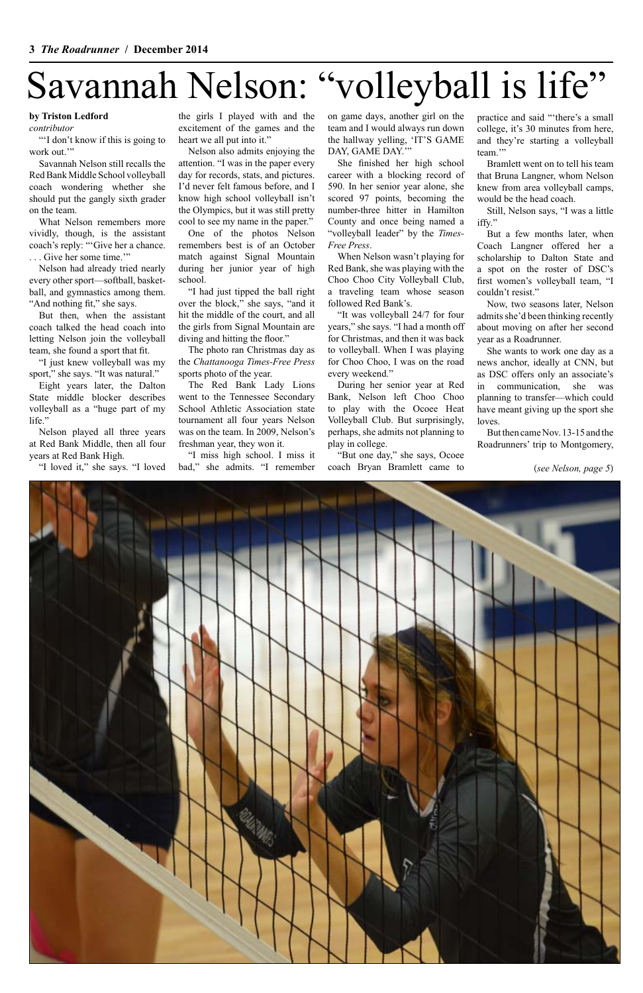# Savannah Nelson: "volleyball is life"

"'I don't know if this is going to work out."

#### **by Triston Ledford**

*contributor*

Nelson had already tried nearly every other sport—softball, basketball, and gymnastics among them. "And nothing fit," she says.

Savannah Nelson still recalls the Red Bank Middle School volleyball coach wondering whether she should put the gangly sixth grader on the team.

"I just knew volleyball was my sport," she says. "It was natural."

What Nelson remembers more vividly, though, is the assistant coach's reply: "'Give her a chance. . . . Give her some time.'"

But then, when the assistant coach talked the head coach into letting Nelson join the volleyball team, she found a sport that fit.

Eight years later, the Dalton State middle blocker describes volleyball as a "huge part of my life."

Nelson played all three years at Red Bank Middle, then all four years at Red Bank High.

"I loved it," she says. "I loved

the girls I played with and the excitement of the games and the heart we all put into it."

Nelson also admits enjoying the attention. "I was in the paper every day for records, stats, and pictures. I'd never felt famous before, and I know high school volleyball isn't the Olympics, but it was still pretty cool to see my name in the paper."

One of the photos Nelson remembers best is of an October match against Signal Mountain during her junior year of high school.

practice and said "'there's a small college, it's 30 minutes from here, and they're starting a volleyball team<sup>"</sup>

"I had just tipped the ball right over the block," she says, "and it hit the middle of the court, and all the girls from Signal Mountain are diving and hitting the floor."

The photo ran Christmas day as the *Chattanooga Times-Free Press*  sports photo of the year.

The Red Bank Lady Lions went to the Tennessee Secondary School Athletic Association state tournament all four years Nelson was on the team. In 2009, Nelson's freshman year, they won it.

"I miss high school. I miss it bad," she admits. "I remember

on game days, another girl on the team and I would always run down the hallway yelling, 'IT'S GAME DAY, GAME DAY.'"

She finished her high school career with a blocking record of 590. In her senior year alone, she scored 97 points, becoming the number-three hitter in Hamilton County and once being named a "volleyball leader" by the *Times-Free Press*.

When Nelson wasn't playing for Red Bank, she was playing with the Choo Choo City Volleyball Club, a traveling team whose season followed Red Bank's.

"It was volleyball 24/7 for four years," she says. "I had a month off for Christmas, and then it was back to volleyball. When I was playing for Choo Choo, I was on the road every weekend."

During her senior year at Red Bank, Nelson left Choo Choo to play with the Ocoee Heat Volleyball Club. But surprisingly, perhaps, she admits not planning to play in college.

"But one day," she says, Ocoee coach Bryan Bramlett came to

Bramlett went on to tell his team that Bruna Langner, whom Nelson knew from area volleyball camps, would be the head coach.

Still, Nelson says, "I was a little iffy."

But a few months later, when Coach Langner offered her a scholarship to Dalton State and a spot on the roster of DSC's first women's volleyball team, "I couldn't resist."

Now, two seasons later, Nelson admits she'd been thinking recently about moving on after her second year as a Roadrunner.

She wants to work one day as a news anchor, ideally at CNN, but as DSC offers only an associate's in communication, she was planning to transfer—which could have meant giving up the sport she loves.

But then came Nov. 13-15 and the Roadrunners' trip to Montgomery,

(*see Nelson, page 5*)

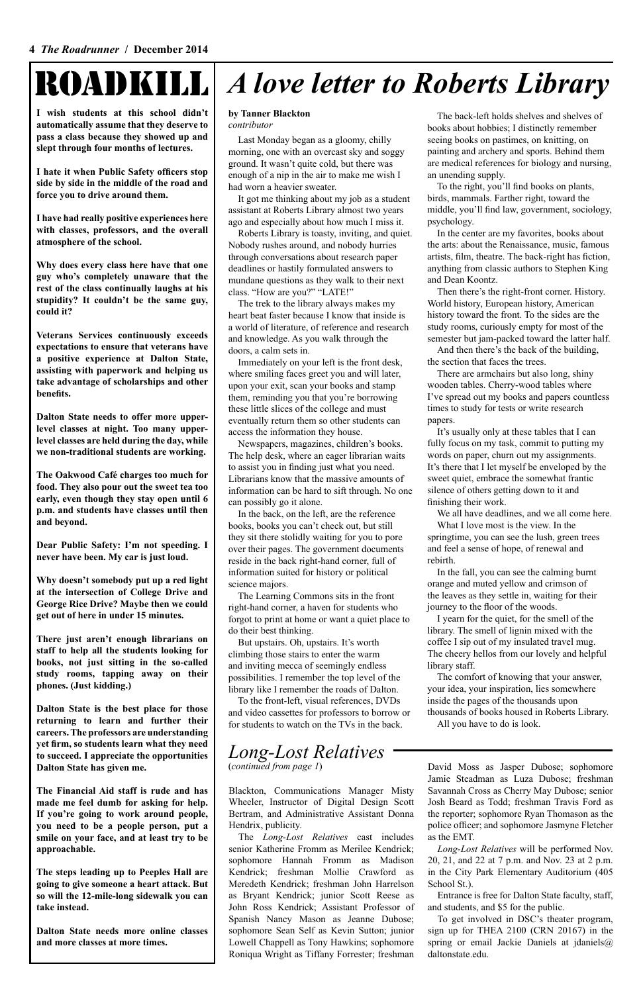# ROADKILL

**I wish students at this school didn't automatically assume that they deserve to pass a class because they showed up and slept through four months of lectures.**

**I hate it when Public Safety officers stop side by side in the middle of the road and force you to drive around them.**

**I have had really positive experiences here with classes, professors, and the overall atmosphere of the school.**

**Why does every class here have that one guy who's completely unaware that the rest of the class continually laughs at his stupidity? It couldn't be the same guy, could it?**

**Veterans Services continuously exceeds expectations to ensure that veterans have a positive experience at Dalton State, assisting with paperwork and helping us take advantage of scholarships and other benefits.**

**Dalton State needs to offer more upperlevel classes at night. Too many upperlevel classes are held during the day, while we non-traditional students are working.**

**The Oakwood Café charges too much for food. They also pour out the sweet tea too early, even though they stay open until 6 p.m. and students have classes until then and beyond.**

**Dear Public Safety: I'm not speeding. I never have been. My car is just loud.**

**Why doesn't somebody put up a red light at the intersection of College Drive and George Rice Drive? Maybe then we could get out of here in under 15 minutes.**

**There just aren't enough librarians on staff to help all the students looking for books, not just sitting in the so-called study rooms, tapping away on their phones. (Just kidding.)**

**Dalton State is the best place for those returning to learn and further their careers. The professors are understanding yet firm, so students learn what they need to succeed. I appreciate the opportunities Dalton State has given me.**

**The Financial Aid staff is rude and has made me feel dumb for asking for help. If you're going to work around people, you need to be a people person, put a smile on your face, and at least try to be approachable.**

**The steps leading up to Peeples Hall are going to give someone a heart attack. But so will the 12-mile-long sidewalk you can take instead.**

**Dalton State needs more online classes and more classes at more times.**

## *A love letter to Roberts Library*

#### **by Tanner Blackton** *contributor*

Last Monday began as a gloomy, chilly morning, one with an overcast sky and soggy ground. It wasn't quite cold, but there was enough of a nip in the air to make me wish I had worn a heavier sweater.

It got me thinking about my job as a student assistant at Roberts Library almost two years ago and especially about how much I miss it.

Roberts Library is toasty, inviting, and quiet. Nobody rushes around, and nobody hurries through conversations about research paper deadlines or hastily formulated answers to mundane questions as they walk to their next class. "How are you?" "LATE!"

The trek to the library always makes my heart beat faster because I know that inside is a world of literature, of reference and research and knowledge. As you walk through the doors, a calm sets in.

Immediately on your left is the front desk, where smiling faces greet you and will later, upon your exit, scan your books and stamp them, reminding you that you're borrowing these little slices of the college and must eventually return them so other students can access the information they house.

Newspapers, magazines, children's books. The help desk, where an eager librarian waits to assist you in finding just what you need. Librarians know that the massive amounts of information can be hard to sift through. No one can possibly go it alone.

In the back, on the left, are the reference books, books you can't check out, but still they sit there stolidly waiting for you to pore over their pages. The government documents reside in the back right-hand corner, full of information suited for history or political science majors.

The Learning Commons sits in the front right-hand corner, a haven for students who forgot to print at home or want a quiet place to do their best thinking.

But upstairs. Oh, upstairs. It's worth climbing those stairs to enter the warm and inviting mecca of seemingly endless possibilities. I remember the top level of the library like I remember the roads of Dalton.

To the front-left, visual references, DVDs and video cassettes for professors to borrow or for students to watch on the TVs in the back.

The back-left holds shelves and shelves of books about hobbies; I distinctly remember seeing books on pastimes, on knitting, on painting and archery and sports. Behind them are medical references for biology and nursing, an unending supply.

To the right, you'll find books on plants, birds, mammals. Farther right, toward the middle, you'll find law, government, sociology, psychology.

In the center are my favorites, books about the arts: about the Renaissance, music, famous artists, film, theatre. The back-right has fiction, anything from classic authors to Stephen King and Dean Koontz.

Then there's the right-front corner. History. World history, European history, American history toward the front. To the sides are the study rooms, curiously empty for most of the semester but jam-packed toward the latter half.

And then there's the back of the building, the section that faces the trees.

There are armchairs but also long, shiny wooden tables. Cherry-wood tables where I've spread out my books and papers countless times to study for tests or write research papers.

It's usually only at these tables that I can fully focus on my task, commit to putting my words on paper, churn out my assignments. It's there that I let myself be enveloped by the sweet quiet, embrace the somewhat frantic silence of others getting down to it and finishing their work.

We all have deadlines, and we all come here.

What I love most is the view. In the springtime, you can see the lush, green trees and feel a sense of hope, of renewal and rebirth.

In the fall, you can see the calming burnt orange and muted yellow and crimson of the leaves as they settle in, waiting for their journey to the floor of the woods.

I yearn for the quiet, for the smell of the library. The smell of lignin mixed with the coffee I sip out of my insulated travel mug. The cheery hellos from our lovely and helpful library staff.

The comfort of knowing that your answer, your idea, your inspiration, lies somewhere inside the pages of the thousands upon thousands of books housed in Roberts Library.

All you have to do is look.

#### *Long-Lost Relatives* (*continued from page 1*)

Blackton, Communications Manager Misty Wheeler, Instructor of Digital Design Scott Bertram, and Administrative Assistant Donna Hendrix, publicity.

The *Long-Lost Relatives* cast includes senior Katherine Fromm as Merilee Kendrick; sophomore Hannah Fromm as Madison Kendrick; freshman Mollie Crawford as Meredeth Kendrick; freshman John Harrelson as Bryant Kendrick; junior Scott Reese as John Ross Kendrick; Assistant Professor of Spanish Nancy Mason as Jeanne Dubose; sophomore Sean Self as Kevin Sutton; junior Lowell Chappell as Tony Hawkins; sophomore Roniqua Wright as Tiffany Forrester; freshman David Moss as Jasper Dubose; sophomore Jamie Steadman as Luza Dubose; freshman Savannah Cross as Cherry May Dubose; senior Josh Beard as Todd; freshman Travis Ford as the reporter; sophomore Ryan Thomason as the police officer; and sophomore Jasmyne Fletcher as the EMT.

*Long-Lost Relatives* will be performed Nov. 20, 21, and 22 at 7 p.m. and Nov. 23 at 2 p.m. in the City Park Elementary Auditorium (405 School St.).

Entrance is free for Dalton State faculty, staff, and students, and \$5 for the public.

To get involved in DSC's theater program, sign up for THEA 2100 (CRN 20167) in the spring or email Jackie Daniels at jdaniels@ daltonstate.edu.